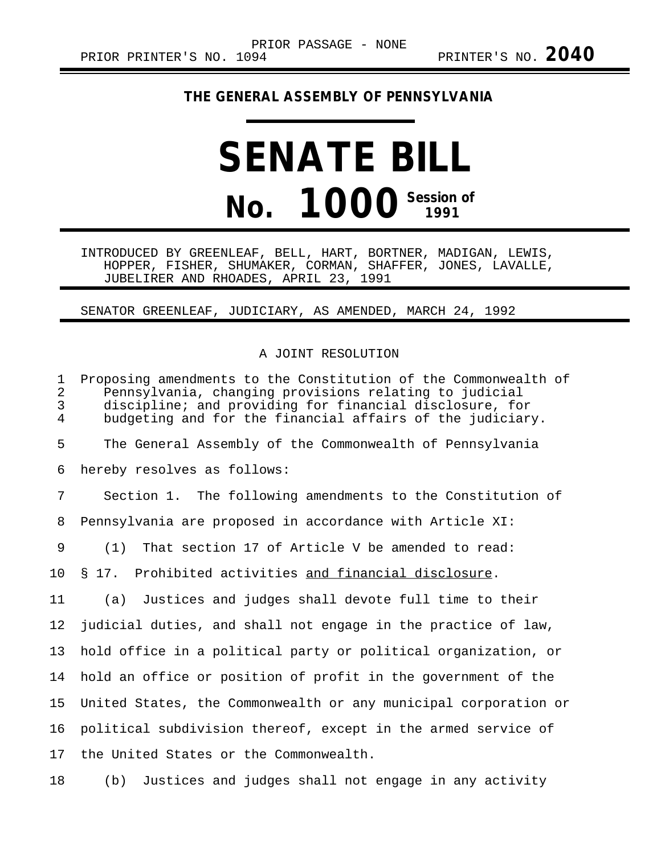## **THE GENERAL ASSEMBLY OF PENNSYLVANIA**

## **SENATE BILL No. 1000 Session of**

INTRODUCED BY GREENLEAF, BELL, HART, BORTNER, MADIGAN, LEWIS, HOPPER, FISHER, SHUMAKER, CORMAN, SHAFFER, JONES, LAVALLE, JUBELIRER AND RHOADES, APRIL 23, 1991

## SENATOR GREENLEAF, JUDICIARY, AS AMENDED, MARCH 24, 1992

## A JOINT RESOLUTION

1 Proposing amendments to the Constitution of the Commonwealth of<br>2 Pennsylvania, changing provisions relating to judicial 2 Pennsylvania, changing provisions relating to judicial discipline; and providing for financial disclosure, for 4 budgeting and for the financial affairs of the judiciary. 5 The General Assembly of the Commonwealth of Pennsylvania 6 hereby resolves as follows: 7 Section 1. The following amendments to the Constitution of 8 Pennsylvania are proposed in accordance with Article XI: 9 (1) That section 17 of Article V be amended to read: 10 § 17. Prohibited activities and financial disclosure. 11 (a) Justices and judges shall devote full time to their 12 judicial duties, and shall not engage in the practice of law, 13 hold office in a political party or political organization, or 14 hold an office or position of profit in the government of the 15 United States, the Commonwealth or any municipal corporation or 16 political subdivision thereof, except in the armed service of 17 the United States or the Commonwealth.

18 (b) Justices and judges shall not engage in any activity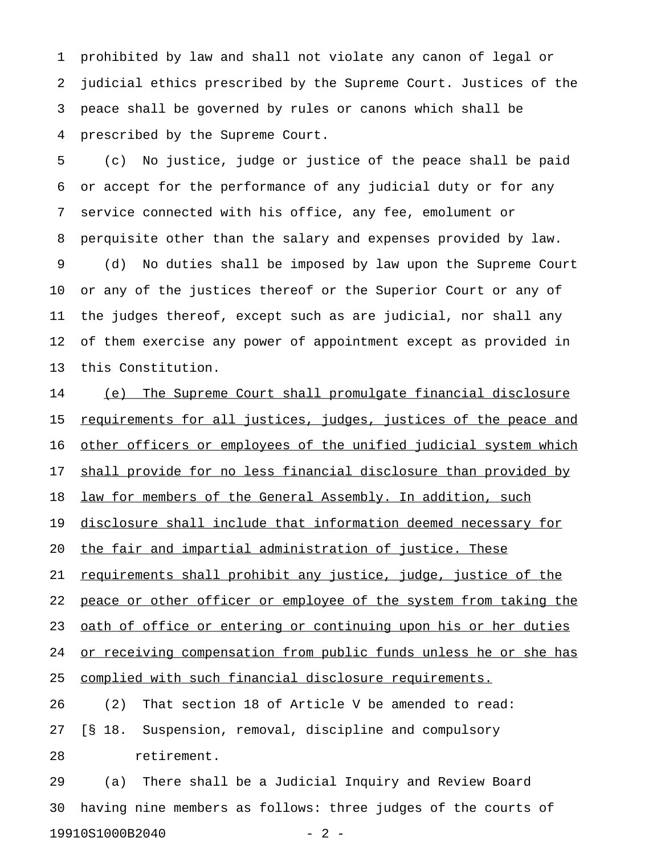1 prohibited by law and shall not violate any canon of legal or 2 judicial ethics prescribed by the Supreme Court. Justices of the 3 peace shall be governed by rules or canons which shall be 4 prescribed by the Supreme Court.

5 (c) No justice, judge or justice of the peace shall be paid 6 or accept for the performance of any judicial duty or for any 7 service connected with his office, any fee, emolument or 8 perquisite other than the salary and expenses provided by law. 9 (d) No duties shall be imposed by law upon the Supreme Court 10 or any of the justices thereof or the Superior Court or any of 11 the judges thereof, except such as are judicial, nor shall any 12 of them exercise any power of appointment except as provided in 13 this Constitution.

14 (e) The Supreme Court shall promulgate financial disclosure 15 <u>requirements for all justices, judges, justices of the peace and</u> 16 other officers or employees of the unified judicial system which 17 shall provide for no less financial disclosure than provided by 18 law for members of the General Assembly. In addition, such 19 disclosure shall include that information deemed necessary for 20 the fair and impartial administration of justice. These 21 requirements shall prohibit any justice, judge, justice of the 22 peace or other officer or employee of the system from taking the 23 oath of office or entering or continuing upon his or her duties 24 or receiving compensation from public funds unless he or she has 25 complied with such financial disclosure requirements. 26 (2) That section 18 of Article V be amended to read: 27 [§ 18. Suspension, removal, discipline and compulsory 28 retirement.

29 (a) There shall be a Judicial Inquiry and Review Board 30 having nine members as follows: three judges of the courts of 19910S1000B2040 - 2 -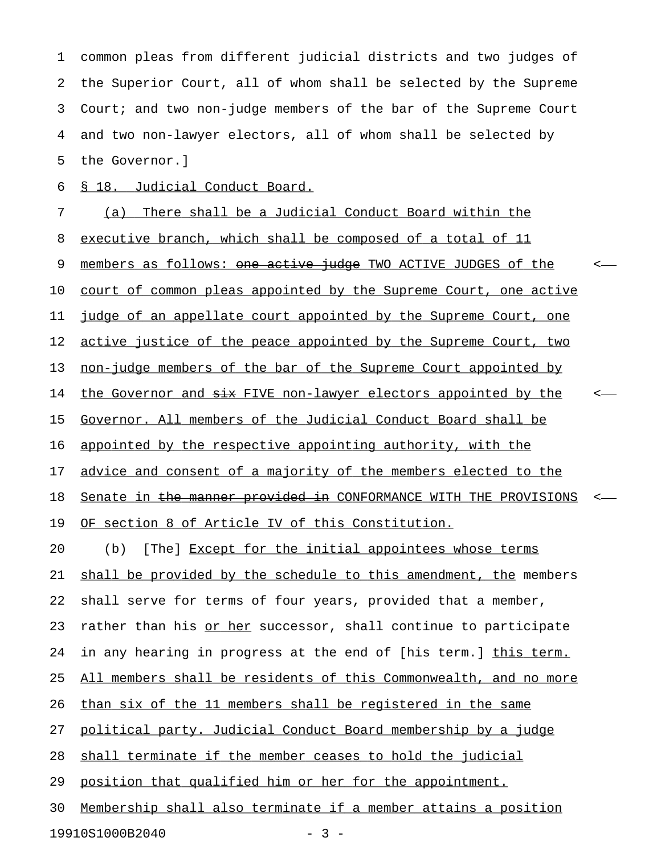1 common pleas from different judicial districts and two judges of 2 the Superior Court, all of whom shall be selected by the Supreme 3 Court; and two non-judge members of the bar of the Supreme Court 4 and two non-lawyer electors, all of whom shall be selected by 5 the Governor.]

6 § 18. Judicial Conduct Board.

7 (a) There shall be a Judicial Conduct Board within the 8 executive branch, which shall be composed of a total of 11 9 members as follows: one active judge TWO ACTIVE JUDGES of the  $\sim$ 10 court of common pleas appointed by the Supreme Court, one active 11 judge of an appellate court appointed by the Supreme Court, one 12 active justice of the peace appointed by the Supreme Court, two 13 non-judge members of the bar of the Supreme Court appointed by 14 the Governor and  $\frac{1}{2}$  FIVE non-lawyer electors appointed by the  $\leq$ 15 Governor. All members of the Judicial Conduct Board shall be 16 appointed by the respective appointing authority, with the 17 advice and consent of a majority of the members elected to the 18 Senate in the manner provided in CONFORMANCE WITH THE PROVISIONS <-19 OF section 8 of Article IV of this Constitution. 20 (b) [The] Except for the initial appointees whose terms 21 shall be provided by the schedule to this amendment, the members 22 shall serve for terms of four years, provided that a member, 23 rather than his or her successor, shall continue to participate 24 in any hearing in progress at the end of [his term.] this term. 25 All members shall be residents of this Commonwealth, and no more 26 than six of the 11 members shall be registered in the same 27 political party. Judicial Conduct Board membership by a judge 28 shall terminate if the member ceases to hold the judicial 29 position that qualified him or her for the appointment. 30 Membership shall also terminate if a member attains a position

19910S1000B2040 - 3 -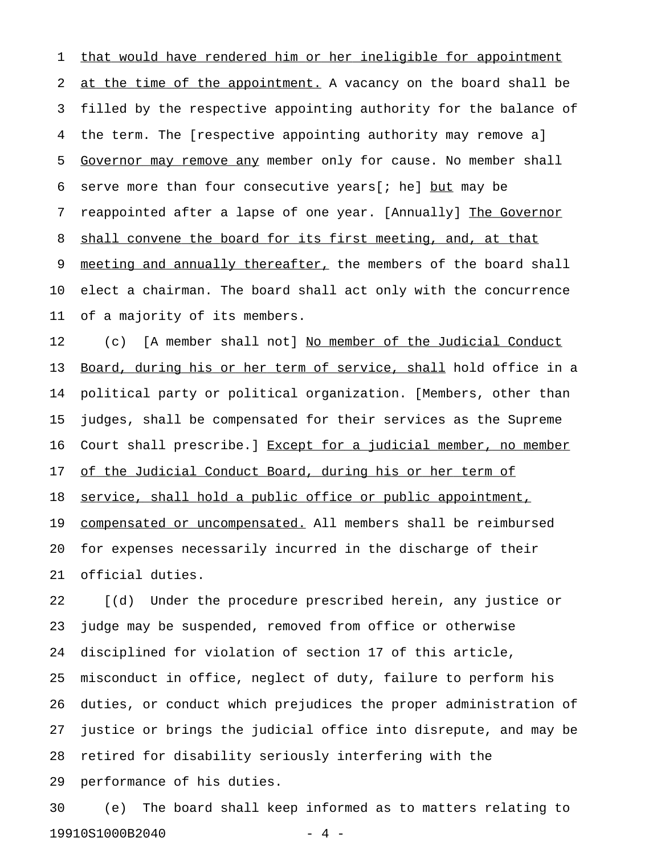1 that would have rendered him or her ineligible for appointment 2 at the time of the appointment. A vacancy on the board shall be 3 filled by the respective appointing authority for the balance of 4 the term. The [respective appointing authority may remove a] 5 Governor may remove any member only for cause. No member shall \_\_\_\_\_\_\_\_\_\_\_\_\_\_\_\_\_\_\_\_\_\_\_ 6 serve more than four consecutive years[; he] but may be 7 reappointed after a lapse of one year. [Annually] The Governor 8 shall convene the board for its first meeting, and, at that 9 meeting and annually thereafter, the members of the board shall 10 elect a chairman. The board shall act only with the concurrence 11 of a majority of its members.

12 (c) [A member shall not] No member of the Judicial Conduct 13 Board, during his or her term of service, shall hold office in a 14 political party or political organization. [Members, other than 15 judges, shall be compensated for their services as the Supreme 16 Court shall prescribe.] Except for a judicial member, no member 17 of the Judicial Conduct Board, during his or her term of 18 service, shall hold a public office or public appointment, 19 compensated or uncompensated. All members shall be reimbursed 20 for expenses necessarily incurred in the discharge of their 21 official duties.

22 [(d) Under the procedure prescribed herein, any justice or 23 judge may be suspended, removed from office or otherwise 24 disciplined for violation of section 17 of this article, 25 misconduct in office, neglect of duty, failure to perform his 26 duties, or conduct which prejudices the proper administration of 27 justice or brings the judicial office into disrepute, and may be 28 retired for disability seriously interfering with the 29 performance of his duties.

30 (e) The board shall keep informed as to matters relating to 19910S1000B2040 - 4 -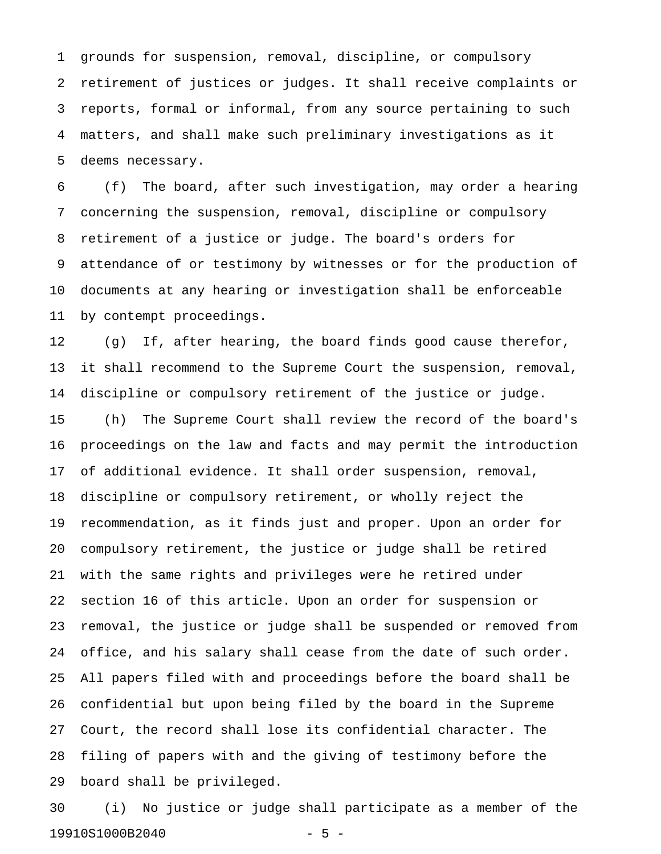1 grounds for suspension, removal, discipline, or compulsory 2 retirement of justices or judges. It shall receive complaints or 3 reports, formal or informal, from any source pertaining to such 4 matters, and shall make such preliminary investigations as it 5 deems necessary.

6 (f) The board, after such investigation, may order a hearing 7 concerning the suspension, removal, discipline or compulsory 8 retirement of a justice or judge. The board's orders for 9 attendance of or testimony by witnesses or for the production of 10 documents at any hearing or investigation shall be enforceable 11 by contempt proceedings.

12 (g) If, after hearing, the board finds good cause therefor, 13 it shall recommend to the Supreme Court the suspension, removal, 14 discipline or compulsory retirement of the justice or judge.

15 (h) The Supreme Court shall review the record of the board's 16 proceedings on the law and facts and may permit the introduction 17 of additional evidence. It shall order suspension, removal, 18 discipline or compulsory retirement, or wholly reject the 19 recommendation, as it finds just and proper. Upon an order for 20 compulsory retirement, the justice or judge shall be retired 21 with the same rights and privileges were he retired under 22 section 16 of this article. Upon an order for suspension or 23 removal, the justice or judge shall be suspended or removed from 24 office, and his salary shall cease from the date of such order. 25 All papers filed with and proceedings before the board shall be 26 confidential but upon being filed by the board in the Supreme 27 Court, the record shall lose its confidential character. The 28 filing of papers with and the giving of testimony before the 29 board shall be privileged.

30 (i) No justice or judge shall participate as a member of the 19910S1000B2040 - 5 -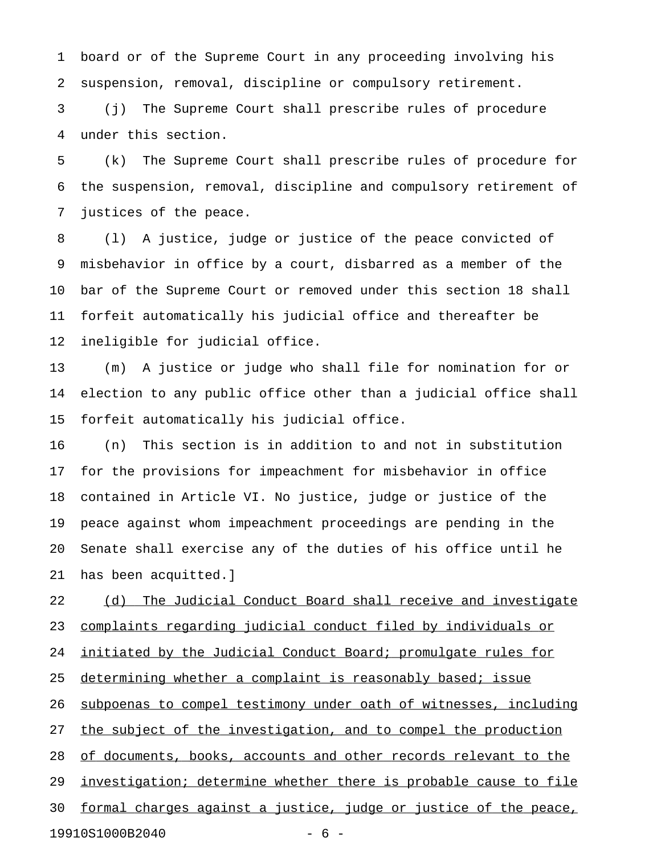1 board or of the Supreme Court in any proceeding involving his 2 suspension, removal, discipline or compulsory retirement.

3 (j) The Supreme Court shall prescribe rules of procedure 4 under this section.

5 (k) The Supreme Court shall prescribe rules of procedure for 6 the suspension, removal, discipline and compulsory retirement of 7 justices of the peace.

8 (l) A justice, judge or justice of the peace convicted of 9 misbehavior in office by a court, disbarred as a member of the 10 bar of the Supreme Court or removed under this section 18 shall 11 forfeit automatically his judicial office and thereafter be 12 ineligible for judicial office.

13 (m) A justice or judge who shall file for nomination for or 14 election to any public office other than a judicial office shall 15 forfeit automatically his judicial office.

16 (n) This section is in addition to and not in substitution 17 for the provisions for impeachment for misbehavior in office 18 contained in Article VI. No justice, judge or justice of the 19 peace against whom impeachment proceedings are pending in the 20 Senate shall exercise any of the duties of his office until he 21 has been acquitted.]

22 (d) The Judicial Conduct Board shall receive and investigate 23 complaints regarding judicial conduct filed by individuals or 24 initiated by the Judicial Conduct Board; promulgate rules for 25 determining whether a complaint is reasonably based; issue 26 subpoenas to compel testimony under oath of witnesses, including 27 the subject of the investigation, and to compel the production 28 of documents, books, accounts and other records relevant to the 29 investigation; determine whether there is probable cause to file 30 formal charges against a justice, judge or justice of the peace, 19910S1000B2040 - 6 -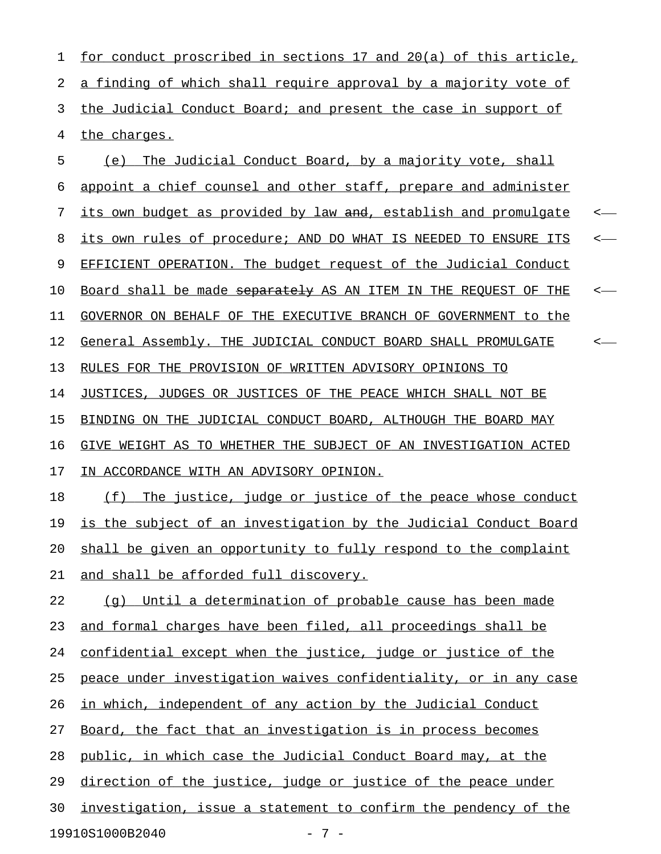1 for conduct proscribed in sections 17 and 20(a) of this article, 2 a finding of which shall require approval by a majority vote of 3 the Judicial Conduct Board; and present the case in support of 4 the charges.

5 (e) The Judicial Conduct Board, by a majority vote, shall 6 appoint a chief counsel and other staff, prepare and administer 7 its own budget as provided by law and, establish and promulgate <-8 its own rules of procedure; AND DO WHAT IS NEEDED TO ENSURE ITS <-9 EFFICIENT OPERATION. The budget request of the Judicial Conduct 10 Board shall be made <del>separately</del> AS AN ITEM IN THE REQUEST OF THE  $\leftarrow$ 11 GOVERNOR ON BEHALF OF THE EXECUTIVE BRANCH OF GOVERNMENT to the 12 General Assembly. THE JUDICIAL CONDUCT BOARD SHALL PROMULGATE < 13 RULES FOR THE PROVISION OF WRITTEN ADVISORY OPINIONS TO 14 JUSTICES, JUDGES OR JUSTICES OF THE PEACE WHICH SHALL NOT BE

16 GIVE WEIGHT AS TO WHETHER THE SUBJECT OF AN INVESTIGATION ACTED 17 IN ACCORDANCE WITH AN ADVISORY OPINION.

15 BINDING ON THE JUDICIAL CONDUCT BOARD, ALTHOUGH THE BOARD MAY

18 (f) The justice, judge or justice of the peace whose conduct 19 is the subject of an investigation by the Judicial Conduct Board 20 shall be given an opportunity to fully respond to the complaint 21 and shall be afforded full discovery.

 $22$  (q) Until a determination of probable cause has been made 23 and formal charges have been filed, all proceedings shall be 24 confidential except when the justice, judge or justice of the 25 peace under investigation waives confidentiality, or in any case 26 in which, independent of any action by the Judicial Conduct 27 Board, the fact that an investigation is in process becomes 28 public, in which case the Judicial Conduct Board may, at the 29 direction of the justice, judge or justice of the peace under 30 investigation, issue a statement to confirm the pendency of the

19910S1000B2040 - 7 -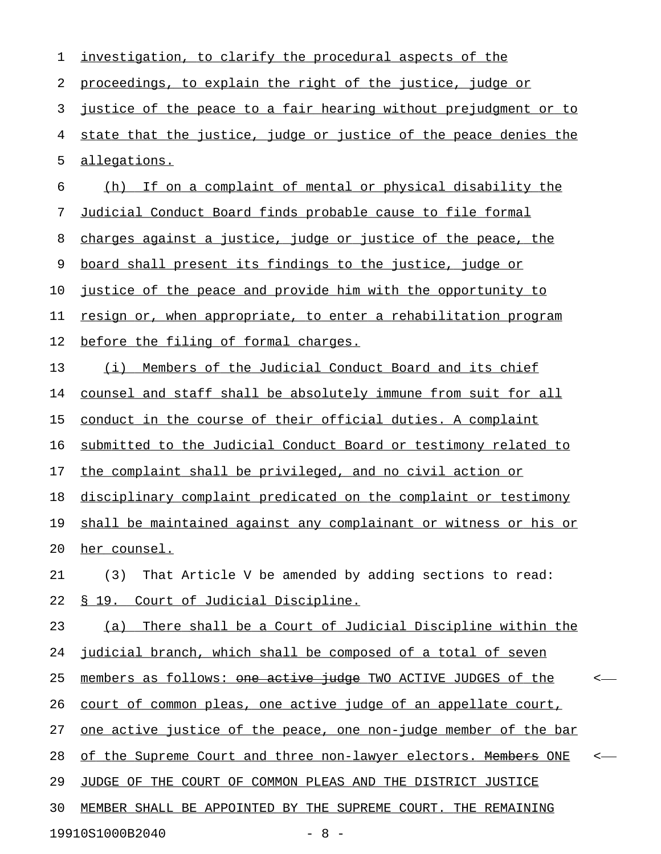| 1  | investigation, to clarify the procedural aspects of the                 |       |
|----|-------------------------------------------------------------------------|-------|
| 2  | proceedings, to explain the right of the justice, judge or              |       |
| 3  | justice of the peace to a fair hearing without prejudgment or to        |       |
| 4  | state that the justice, judge or justice of the peace denies the        |       |
| 5  | allegations.                                                            |       |
| 6  | If on a complaint of mental or physical disability the<br>(h)           |       |
| 7  | Judicial Conduct Board finds probable cause to file formal              |       |
| 8  | charges against a justice, judge or justice of the peace, the           |       |
| 9  | board shall present its findings to the justice, judge or               |       |
| 10 | justice of the peace and provide him with the opportunity to            |       |
| 11 | resign or, when appropriate, to enter a rehabilitation program          |       |
| 12 | before the filing of formal charges.                                    |       |
| 13 | Members of the Judicial Conduct Board and its chief<br>(i)              |       |
| 14 | counsel and staff shall be absolutely immune from suit for all          |       |
| 15 | conduct in the course of their official duties. A complaint             |       |
| 16 | submitted to the Judicial Conduct Board or testimony related to         |       |
| 17 | the complaint shall be privileged, and no civil action or               |       |
| 18 | disciplinary complaint predicated on the complaint or testimony         |       |
| 19 | shall be maintained against any complainant or witness or his or        |       |
| 20 | her counsel.                                                            |       |
| 21 | That Article V be amended by adding sections to read:<br>(3)            |       |
| 22 | <u>§ 19. Court of Judicial Discipline.</u>                              |       |
| 23 | (a) There shall be a Court of Judicial Discipline within the            |       |
| 24 | judicial branch, which shall be composed of a total of seven            |       |
| 25 | members as follows: one active judge TWO ACTIVE JUDGES of the           | <     |
| 26 | court of common pleas, one active judge of an appellate court,          |       |
| 27 | <u>one active justice of the peace, one non-judge member of the bar</u> |       |
| 28 | of the Supreme Court and three non-lawyer electors. Members ONE         | $\,<$ |
| 29 | JUDGE OF THE COURT OF COMMON PLEAS AND THE DISTRICT JUSTICE             |       |
| 30 | MEMBER SHALL BE APPOINTED BY THE SUPREME COURT. THE REMAINING           |       |
|    | 19910S1000B2040<br>$-8 -$                                               |       |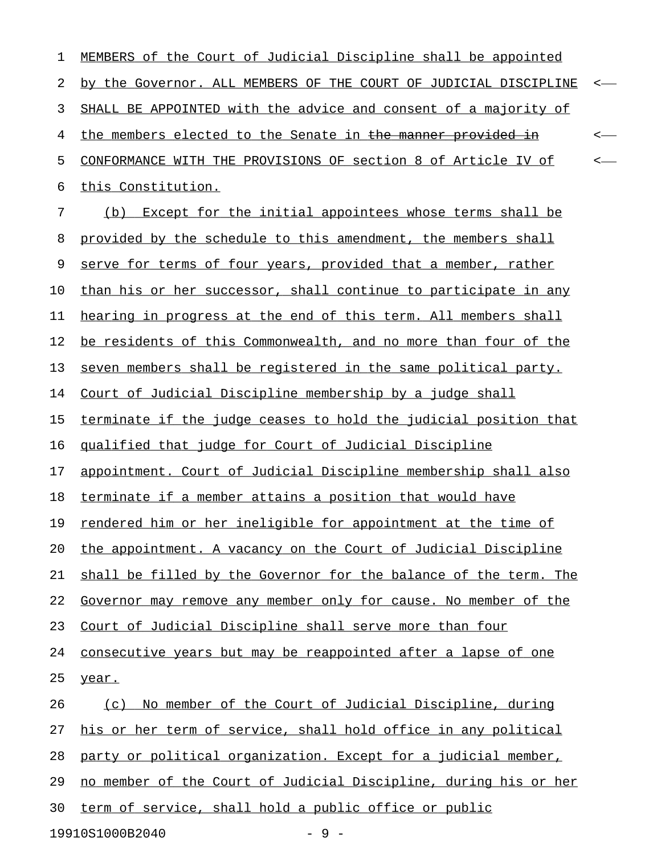| 1  | MEMBERS of the Court of Judicial Discipline shall be appointed   |  |
|----|------------------------------------------------------------------|--|
| 2  | by the Governor. ALL MEMBERS OF THE COURT OF JUDICIAL DISCIPLINE |  |
| 3  | SHALL BE APPOINTED with the advice and consent of a majority of  |  |
| 4  | the members elected to the Senate in the manner provided in      |  |
| 5  | CONFORMANCE WITH THE PROVISIONS OF section 8 of Article IV of    |  |
| 6  | this Constitution.                                               |  |
| 7  | (b) Except for the initial appointees whose terms shall be       |  |
| 8  | provided by the schedule to this amendment, the members shall    |  |
| 9  | serve for terms of four years, provided that a member, rather    |  |
| 10 | than his or her successor, shall continue to participate in any  |  |
| 11 | hearing in progress at the end of this term. All members shall   |  |
| 12 | be residents of this Commonwealth, and no more than four of the  |  |
| 13 | seven members shall be registered in the same political party.   |  |
| 14 | Court of Judicial Discipline membership by a judge shall         |  |
| 15 | terminate if the judge ceases to hold the judicial position that |  |
| 16 | qualified that judge for Court of Judicial Discipline            |  |
| 17 | appointment. Court of Judicial Discipline membership shall also  |  |
| 18 | terminate if a member attains a position that would have         |  |
| 19 | rendered him or her ineligible for appointment at the time of    |  |
| 20 | the appointment. A vacancy on the Court of Judicial Discipline   |  |
| 21 | shall be filled by the Governor for the balance of the term. The |  |
| 22 | Governor may remove any member only for cause. No member of the  |  |
| 23 | Court of Judicial Discipline shall serve more than four          |  |
| 24 | consecutive years but may be reappointed after a lapse of one    |  |
| 25 | year.                                                            |  |
| 26 | No member of the Court of Judicial Discipline, during<br>(C)     |  |
| 27 | his or her term of service, shall hold office in any political   |  |
| 28 | party or political organization. Except for a judicial member,   |  |
| 29 | no member of the Court of Judicial Discipline, during his or her |  |
| 30 | term of service, shall hold a public office or public            |  |
|    | 19910S1000B2040<br>$-9-$                                         |  |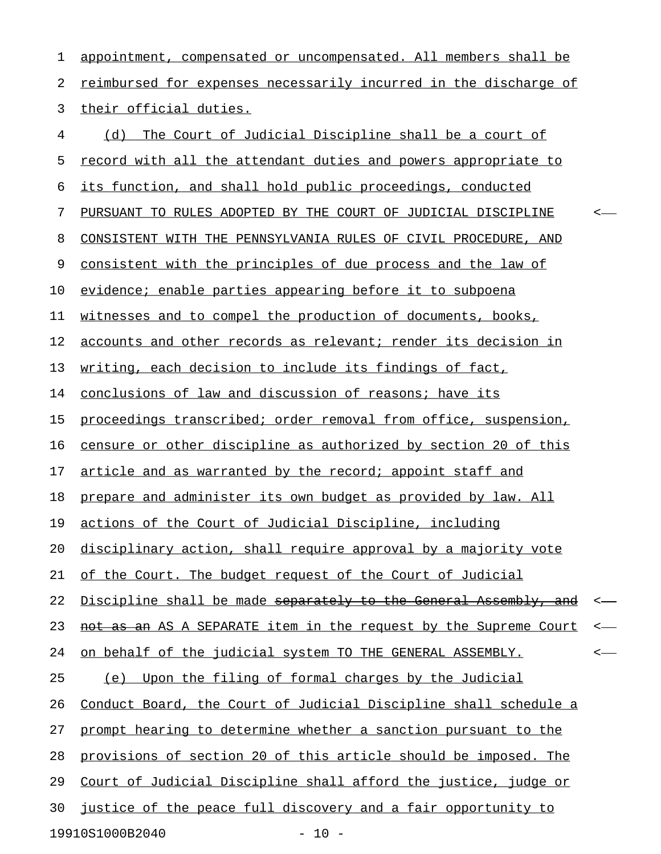1 appointment, compensated or uncompensated. All members shall be 2 reimbursed for expenses necessarily incurred in the discharge of 3 their official duties.

| 4  | The Court of Judicial Discipline shall be a court of<br>(d)      |         |
|----|------------------------------------------------------------------|---------|
| 5  | record with all the attendant duties and powers appropriate to   |         |
| 6  | its function, and shall hold public proceedings, conducted       |         |
| 7  | PURSUANT TO RULES ADOPTED BY THE COURT OF JUDICIAL DISCIPLINE    | ≺       |
| 8  | CONSISTENT WITH THE PENNSYLVANIA RULES OF CIVIL PROCEDURE, AND   |         |
| 9  | consistent with the principles of due process and the law of     |         |
| 10 | evidence; enable parties appearing before it to subpoena         |         |
| 11 | witnesses and to compel the production of documents, books,      |         |
| 12 | accounts and other records as relevant; render its decision in   |         |
| 13 | writing, each decision to include its findings of fact,          |         |
| 14 | conclusions of law and discussion of reasons; have its           |         |
| 15 | proceedings transcribed; order removal from office, suspension,  |         |
| 16 | censure or other discipline as authorized by section 20 of this  |         |
| 17 | article and as warranted by the record; appoint staff and        |         |
| 18 | prepare and administer its own budget as provided by law. All    |         |
| 19 | actions of the Court of Judicial Discipline, including           |         |
| 20 | disciplinary action, shall require approval by a majority vote   |         |
| 21 | of the Court. The budget request of the Court of Judicial        |         |
| 22 | Discipline shall be made separately to the General Assembly, and | $\,<\,$ |
| 23 | as an AS A SEPARATE item in the request by the Supreme Court     | $\,<\,$ |
| 24 | on behalf of the judicial system TO THE GENERAL ASSEMBLY.        | <       |
| 25 | Upon the filing of formal charges by the Judicial<br>(e)         |         |
| 26 | Conduct Board, the Court of Judicial Discipline shall schedule a |         |
| 27 | prompt hearing to determine whether a sanction pursuant to the   |         |
| 28 | provisions of section 20 of this article should be imposed. The  |         |
| 29 | Court of Judicial Discipline shall afford the justice, judge or  |         |
| 30 | justice of the peace full discovery and a fair opportunity to    |         |
|    | 19910S1000B2040<br>$-10 -$                                       |         |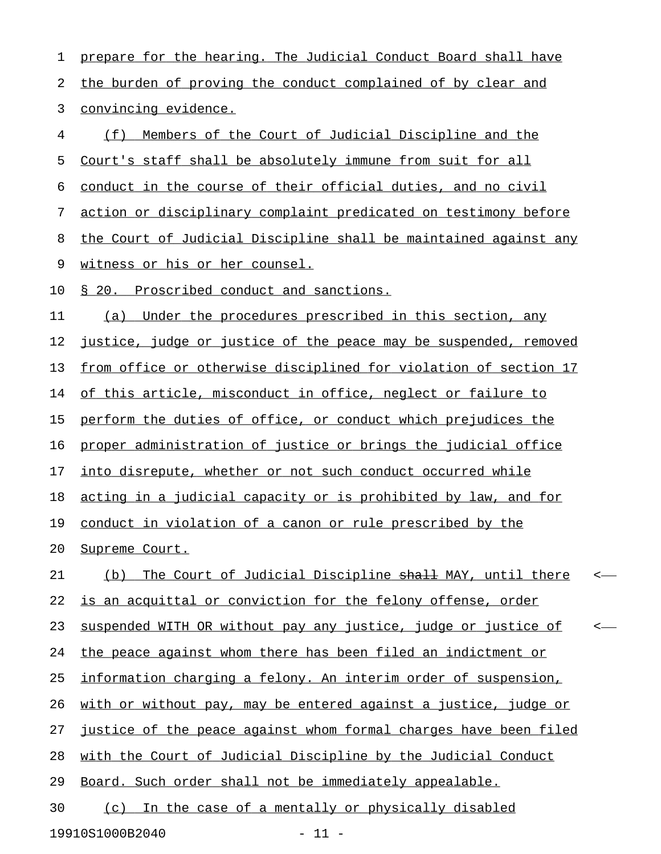1 prepare for the hearing. The Judicial Conduct Board shall have 2 the burden of proving the conduct complained of by clear and 3 convincing evidence. 4 (f) Members of the Court of Judicial Discipline and the 5 Court's staff shall be absolutely immune from suit for all 6 conduct in the course of their official duties, and no civil 7 action or disciplinary complaint predicated on testimony before 8 the Court of Judicial Discipline shall be maintained against any 9 witness or his or her counsel. 10 § 20. Proscribed conduct and sanctions. 11 (a) Under the procedures prescribed in this section, any 12 justice, judge or justice of the peace may be suspended, removed 13 from office or otherwise disciplined for violation of section 17 14 of this article, misconduct in office, neglect or failure to 15 perform the duties of office, or conduct which prejudices the 16 proper administration of justice or brings the judicial office 17 into disrepute, whether or not such conduct occurred while 18 acting in a judicial capacity or is prohibited by law, and for 19 conduct in violation of a canon or rule prescribed by the 20 Supreme Court. 21 (b) The Court of Judicial Discipline  $\frac{1}{2}$  MAY, until there < 22 is an acquittal or conviction for the felony offense, order 23 suspended WITH OR without pay any justice, judge or justice of  $\sim$ 24 the peace against whom there has been filed an indictment or 25 information charging a felony. An interim order of suspension, 26 with or without pay, may be entered against a justice, judge or 27 justice of the peace against whom formal charges have been filed 28 with the Court of Judicial Discipline by the Judicial Conduct 29 Board. Such order shall not be immediately appealable. 30 (c) In the case of a mentally or physically disabled

19910S1000B2040 - 11 -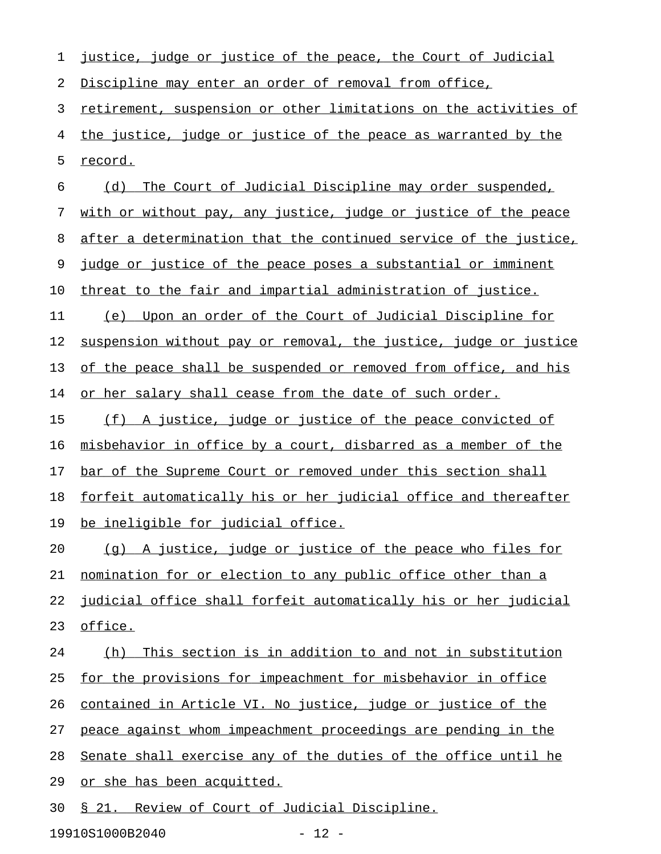| 1  | justice, judge or justice of the peace, the Court of Judicial    |
|----|------------------------------------------------------------------|
| 2  | Discipline may enter an order of removal from office,            |
| 3  | retirement, suspension or other limitations on the activities of |
| 4  | the justice, judge or justice of the peace as warranted by the   |
| 5  | record.                                                          |
| 6  | The Court of Judicial Discipline may order suspended,<br>(d)     |
| 7  | with or without pay, any justice, judge or justice of the peace  |
| 8  | after a determination that the continued service of the justice, |
| 9  | judge or justice of the peace poses a substantial or imminent    |
| 10 | threat to the fair and impartial administration of justice.      |
| 11 | Upon an order of the Court of Judicial Discipline for<br>(e)     |
| 12 | suspension without pay or removal, the justice, judge or justice |
| 13 | of the peace shall be suspended or removed from office, and his  |
| 14 | or her salary shall cease from the date of such order.           |
| 15 | (f) A justice, judge or justice of the peace convicted of        |
| 16 | misbehavior in office by a court, disbarred as a member of the   |
| 17 | bar of the Supreme Court or removed under this section shall     |
| 18 | forfeit automatically his or her judicial office and thereafter  |
| 19 | <u>be ineligible for judicial office.</u>                        |
| 20 | (g) A justice, judge or justice of the peace who files for       |
| 21 | nomination for or election to any public office other than a     |
| 22 | judicial office shall forfeit automatically his or her judicial  |
| 23 | office.                                                          |
| 24 | This section is in addition to and not in substitution<br>(h)    |
| 25 | for the provisions for impeachment for misbehavior in office     |
| 26 | contained in Article VI. No justice, judge or justice of the     |
| 27 | peace against whom impeachment proceedings are pending in the    |
| 28 | Senate shall exercise any of the duties of the office until he   |
| 29 | or she has been acquitted.                                       |
| 30 | <u>§ 21. Review of Court of Judicial Discipline.</u>             |
|    |                                                                  |

19910S1000B2040 - 12 -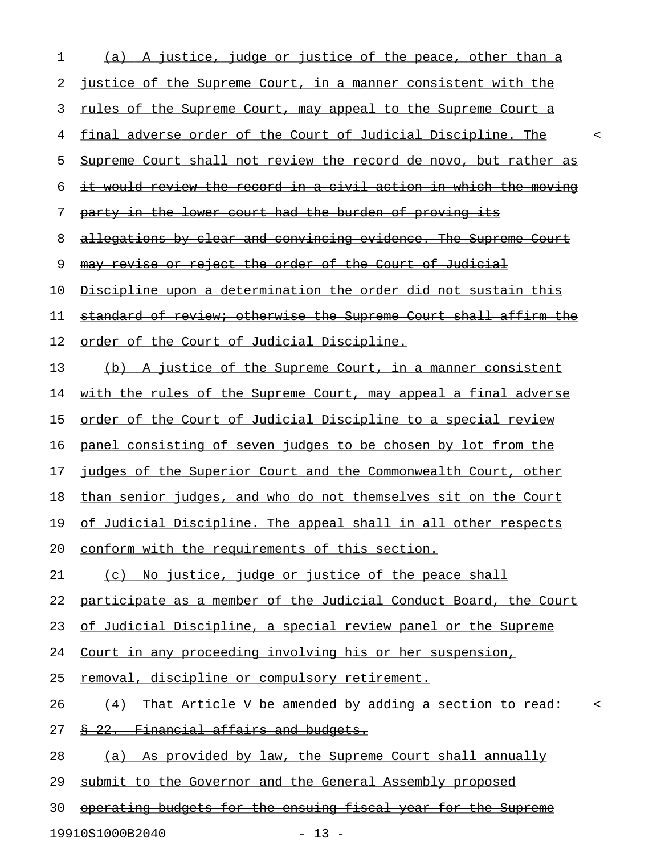| 1  | (a) A justice, judge or justice of the peace, other than a           |         |  |
|----|----------------------------------------------------------------------|---------|--|
| 2  | <u>justice of the Supreme Court, in a manner consistent with the</u> |         |  |
| 3  | <u>rules of the Supreme Court, may appeal to the Supreme Court a</u> |         |  |
| 4  | final adverse order of the Court of Judicial Discipline. The         |         |  |
| 5  | Supreme Court shall not review the record de novo, but rather as     |         |  |
| 6  | it would review the record in a civil action in which the moving     |         |  |
| 7  | party in the lower court had the burden of proving its               |         |  |
| 8  | allegations by clear and convincing evidence. The Supreme Court      |         |  |
| 9  | may revise or reject the order of the Court of Judicial              |         |  |
| 10 | Discipline upon a determination the order did not sustain this       |         |  |
| 11 | standard of review; otherwise the Supreme Court shall affirm the     |         |  |
| 12 | order of the Court of Judicial Discipline.                           |         |  |
| 13 | (b) A justice of the Supreme Court, in a manner consistent           |         |  |
| 14 | with the rules of the Supreme Court, may appeal a final adverse      |         |  |
| 15 | order of the Court of Judicial Discipline to a special review        |         |  |
| 16 | panel consisting of seven judges to be chosen by lot from the        |         |  |
| 17 | judges of the Superior Court and the Commonwealth Court, other       |         |  |
| 18 | than senior judges, and who do not themselves sit on the Court       |         |  |
| 19 | of Judicial Discipline. The appeal shall in all other respects       |         |  |
| 20 | conform with the requirements of this section.                       |         |  |
| 21 | (c) No justice, judge or justice of the peace shall                  |         |  |
| 22 | participate as a member of the Judicial Conduct Board, the Court     |         |  |
| 23 | of Judicial Discipline, a special review panel or the Supreme        |         |  |
| 24 | Court in any proceeding involving his or her suspension,             |         |  |
| 25 | removal, discipline or compulsory retirement.                        |         |  |
| 26 | (4) That Article V be amended by adding a section to read:           | $\,<\,$ |  |
| 27 | 8 22. Financial affairs and budgets.                                 |         |  |
| 28 | (a) As provided by law, the Supreme Court shall annually             |         |  |
| 29 | submit to the Governor and the General Assembly proposed             |         |  |
| 30 | operating budgets for the ensuing fiscal year for the Supreme        |         |  |
|    | 19910S1000B2040<br>$-13 -$                                           |         |  |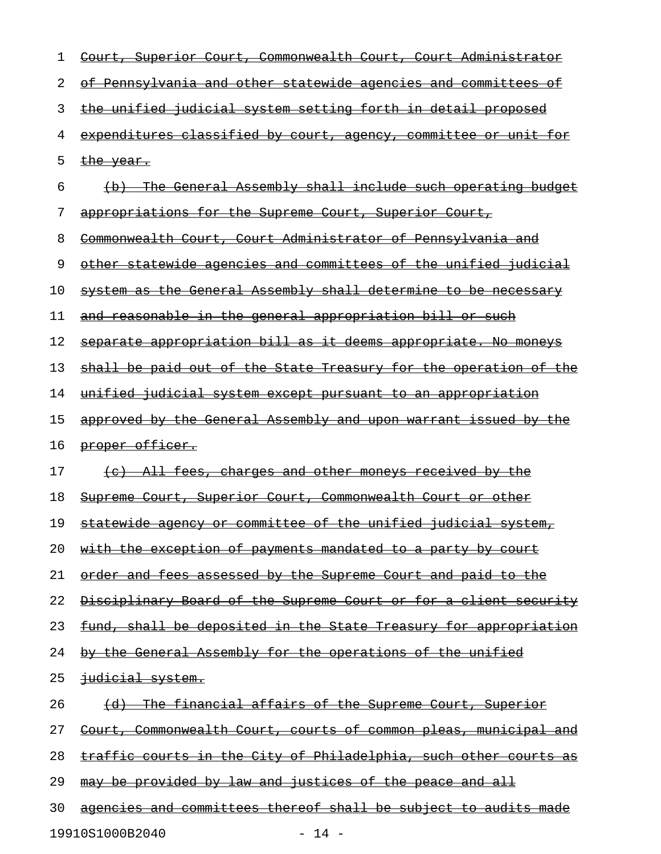| 1  | Court, Superior Court, Commonwealth Court, Court Administrator          |
|----|-------------------------------------------------------------------------|
| 2  | of Pennsylvania and other statewide agencies and committees of          |
| 3  | the unified judicial system setting forth in detail proposed            |
| 4  | expenditures classified by court, agency, committee or unit for         |
| 5  | the year.                                                               |
| 6  | (b) The General Assembly shall include such operating budget            |
| 7  | appropriations for the Supreme Court, Superior Court,                   |
| 8  | Commonwealth Court, Court Administrator of Pennsylvania and             |
| 9  | other statewide agencies and committees of the unified judicial         |
| 10 | system as the General Assembly shall determine to be necessary          |
| 11 | and reasonable in the general appropriation bill or such                |
| 12 | separate appropriation bill as it deems appropriate. No moneys          |
| 13 | shall be paid out of the State Treasury for the operation of the        |
| 14 | <u>unified judicial system except pursuant to an appropriation</u>      |
| 15 | approved by the General Assembly and upon warrant issued by the         |
| 16 | proper officer.                                                         |
| 17 | (c) All fees, charges and other moneys received by the                  |
| 18 | Supreme Court, Superior Court, Commonwealth Court or other              |
| 19 | statewide agency or committee of the unified judicial system,           |
| 20 | <u>with the exception of payments mandated to a party by court</u>      |
| 21 | order and fees assessed by the Supreme Court and paid to the            |
| 22 | Disciplinary Board of the Supreme Court or for a client security        |
| 23 | fund, shall be deposited in the State Treasury for appropriation        |
| 24 | by the General Assembly for the operations of the unified               |
| 25 | judicial system.                                                        |
| 26 | (d) The financial affairs of the Supreme Court, Superior                |
| 27 | <u>Court, Commonwealth Court, courts of common pleas, municipal and</u> |
| 28 | <u>traffic courts in the City of Philadelphia, such other courts as</u> |
| 29 | <u>may be provided by law and justices of the peace and all</u>         |
| 30 | agencies and committees thereof shall be subject to audits made         |
|    | 19910S1000B2040<br>$-14 -$                                              |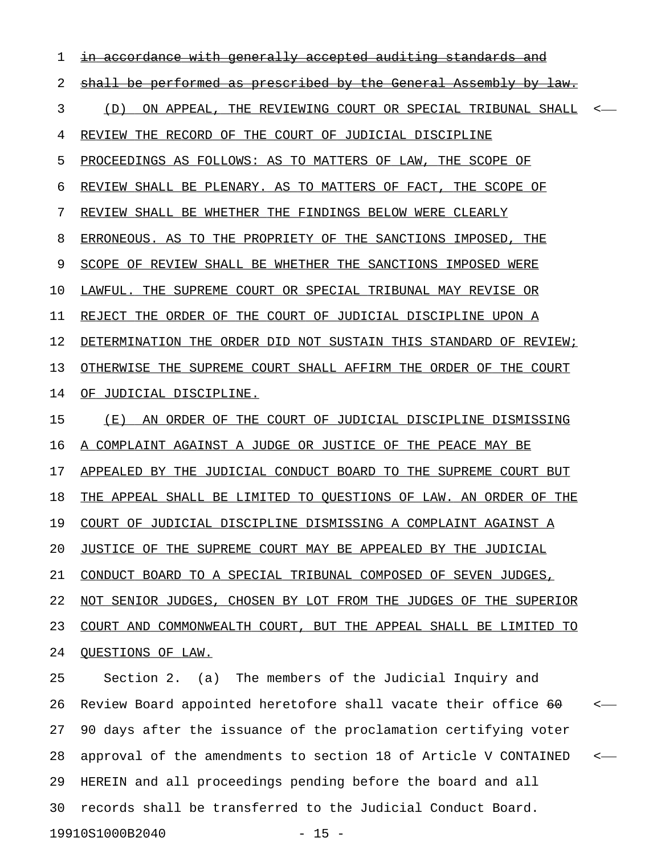1 in accordance with generally accepted auditing standards and 2 shall be performed as prescribed by the General Assembly by law. 3 (D) ON APPEAL, THE REVIEWING COURT OR SPECIAL TRIBUNAL SHALL <-4 REVIEW THE RECORD OF THE COURT OF JUDICIAL DISCIPLINE 5 PROCEEDINGS AS FOLLOWS: AS TO MATTERS OF LAW, THE SCOPE OF 6 REVIEW SHALL BE PLENARY. AS TO MATTERS OF FACT, THE SCOPE OF 7 REVIEW SHALL BE WHETHER THE FINDINGS BELOW WERE CLEARLY 8 ERRONEOUS. AS TO THE PROPRIETY OF THE SANCTIONS IMPOSED, THE 9 SCOPE OF REVIEW SHALL BE WHETHER THE SANCTIONS IMPOSED WERE 10 LAWFUL. THE SUPREME COURT OR SPECIAL TRIBUNAL MAY REVISE OR 11 REJECT THE ORDER OF THE COURT OF JUDICIAL DISCIPLINE UPON A 12 DETERMINATION THE ORDER DID NOT SUSTAIN THIS STANDARD OF REVIEW; 13 OTHERWISE THE SUPREME COURT SHALL AFFIRM THE ORDER OF THE COURT 14 OF JUDICIAL DISCIPLINE. 15 (E) AN ORDER OF THE COURT OF JUDICIAL DISCIPLINE DISMISSING 16 A COMPLAINT AGAINST A JUDGE OR JUSTICE OF THE PEACE MAY BE 17 APPEALED BY THE JUDICIAL CONDUCT BOARD TO THE SUPREME COURT BUT 18 THE APPEAL SHALL BE LIMITED TO QUESTIONS OF LAW. AN ORDER OF THE 19 COURT OF JUDICIAL DISCIPLINE DISMISSING A COMPLAINT AGAINST A 20 JUSTICE OF THE SUPREME COURT MAY BE APPEALED BY THE JUDICIAL 21 CONDUCT BOARD TO A SPECIAL TRIBUNAL COMPOSED OF SEVEN JUDGES, 22 NOT SENIOR JUDGES, CHOSEN BY LOT FROM THE JUDGES OF THE SUPERIOR 23 COURT AND COMMONWEALTH COURT, BUT THE APPEAL SHALL BE LIMITED TO 24 QUESTIONS OF LAW. 25 Section 2. (a) The members of the Judicial Inquiry and 26 Review Board appointed heretofore shall vacate their office 60 <-27 90 days after the issuance of the proclamation certifying voter

28 approval of the amendments to section 18 of Article V CONTAINED < 29 HEREIN and all proceedings pending before the board and all 30 records shall be transferred to the Judicial Conduct Board.

19910S1000B2040 - 15 -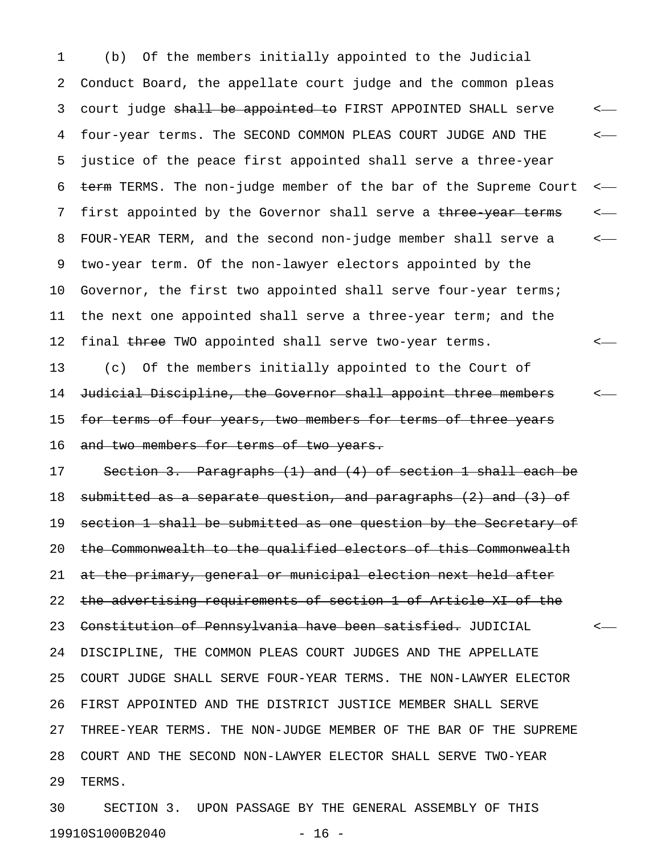1 (b) Of the members initially appointed to the Judicial 2 Conduct Board, the appellate court judge and the common pleas 3 court judge <del>shall be appointed to</del> FIRST APPOINTED SHALL serve  $\sim$ 4 four-year terms. The SECOND COMMON PLEAS COURT JUDGE AND THE < 5 justice of the peace first appointed shall serve a three-year 6 term TERMS. The non-judge member of the bar of the Supreme Court <-7 first appointed by the Governor shall serve a three year terms  $\sim$ 8 FOUR-YEAR TERM, and the second non-judge member shall serve a < 9 two-year term. Of the non-lawyer electors appointed by the 10 Governor, the first two appointed shall serve four-year terms; 11 the next one appointed shall serve a three-year term; and the 12 final three TWO appointed shall serve two-year terms. <-13 (c) Of the members initially appointed to the Court of 14 Judicial Discipline, the Governor shall appoint three members <-15 for terms of four years, two members for terms of three years

16 and two members for terms of two years.

17 Section 3. Paragraphs (1) and (4) of section 1 shall each be 18 submitted as a separate question, and paragraphs (2) and (3) of 19 section 1 shall be submitted as one question by the Secretary of 20 the Commonwealth to the qualified electors of this Commonwealth 21 at the primary, general or municipal election next held after 22 the advertising requirements of section 1 of Article XI of the 23 Constitution of Pennsylvania have been satisfied. JUDICIAL <-24 DISCIPLINE, THE COMMON PLEAS COURT JUDGES AND THE APPELLATE 25 COURT JUDGE SHALL SERVE FOUR-YEAR TERMS. THE NON-LAWYER ELECTOR 26 FIRST APPOINTED AND THE DISTRICT JUSTICE MEMBER SHALL SERVE 27 THREE-YEAR TERMS. THE NON-JUDGE MEMBER OF THE BAR OF THE SUPREME 28 COURT AND THE SECOND NON-LAWYER ELECTOR SHALL SERVE TWO-YEAR 29 TERMS.

30 SECTION 3. UPON PASSAGE BY THE GENERAL ASSEMBLY OF THIS 19910S1000B2040 - 16 -